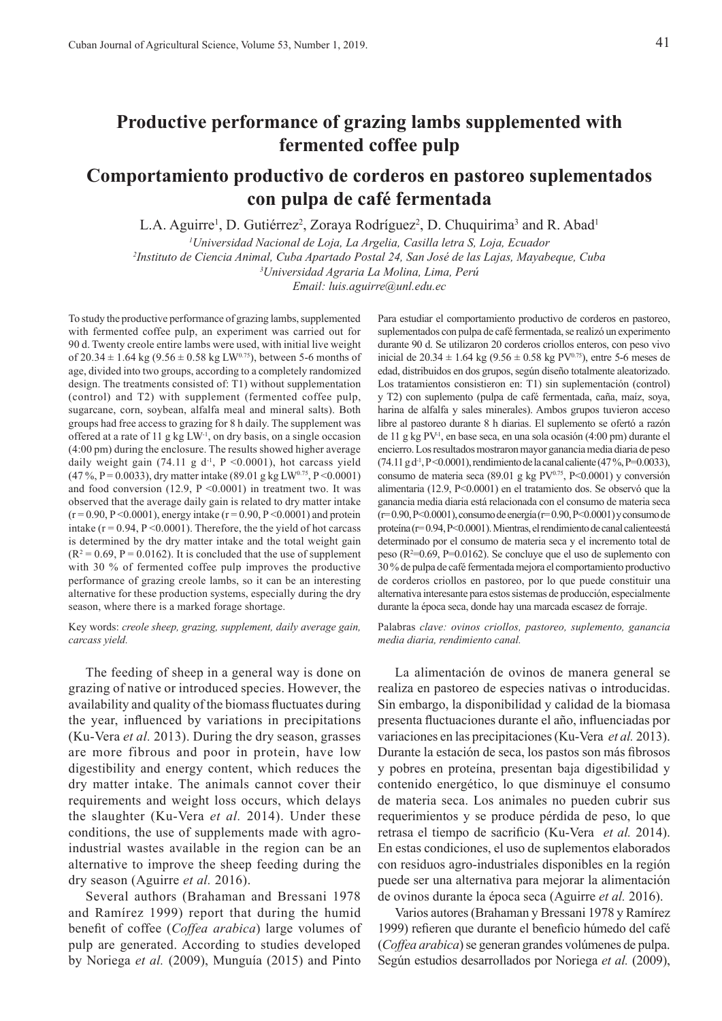# **Productive performance of grazing lambs supplemented with fermented coffee pulp**

# **Comportamiento productivo de corderos en pastoreo suplementados con pulpa de café fermentada**

L.A. Aguirre<sup>1</sup>, D. Gutiérrez<sup>2</sup>, Zoraya Rodríguez<sup>2</sup>, D. Chuquirima<sup>3</sup> and R. Abad<sup>1</sup>

*1 Universidad Nacional de Loja, La Argelia, Casilla letra S, Loja, Ecuador*

*2 Instituto de Ciencia Animal, Cuba Apartado Postal 24, San José de las Lajas, Mayabeque, Cuba*

*3 Universidad Agraria La Molina, Lima, Perú*

*Email: luis.aguirre@unl.edu.ec*

To study the productive performance of grazing lambs, supplemented with fermented coffee pulp, an experiment was carried out for 90 d. Twenty creole entire lambs were used, with initial live weight of  $20.34 \pm 1.64$  kg (9.56  $\pm$  0.58 kg LW<sup>0.75</sup>), between 5-6 months of age, divided into two groups, according to a completely randomized design. The treatments consisted of: T1) without supplementation (control) and T2) with supplement (fermented coffee pulp, sugarcane, corn, soybean, alfalfa meal and mineral salts). Both groups had free access to grazing for 8 h daily. The supplement was offered at a rate of 11 g kg LW-1, on dry basis, on a single occasion (4:00 pm) during the enclosure. The results showed higher average daily weight gain (74.11 g  $d^{-1}$ , P <0.0001), hot carcass yield  $(47\%, P=0.0033)$ , dry matter intake  $(89.01 \text{ g kg LW}^{0.75}, P<0.0001)$ and food conversion (12.9,  $P \le 0.0001$ ) in treatment two. It was observed that the average daily gain is related to dry matter intake  $(r = 0.90, P \le 0.0001)$ , energy intake  $(r = 0.90, P \le 0.0001)$  and protein intake ( $r = 0.94$ ,  $P \le 0.0001$ ). Therefore, the the yield of hot carcass is determined by the dry matter intake and the total weight gain  $(R<sup>2</sup> = 0.69, P = 0.0162)$ . It is concluded that the use of supplement with 30 % of fermented coffee pulp improves the productive performance of grazing creole lambs, so it can be an interesting alternative for these production systems, especially during the dry season, where there is a marked forage shortage.

Key words: *creole sheep, grazing, supplement, daily average gain, carcass yield.*

The feeding of sheep in a general way is done on grazing of native or introduced species. However, the availability and quality of the biomass fluctuates during the year, influenced by variations in precipitations (Ku-Vera *et al.* 2013). During the dry season, grasses are more fibrous and poor in protein, have low digestibility and energy content, which reduces the dry matter intake. The animals cannot cover their requirements and weight loss occurs, which delays the slaughter (Ku-Vera *et al.* 2014). Under these conditions, the use of supplements made with agroindustrial wastes available in the region can be an alternative to improve the sheep feeding during the dry season (Aguirre *et al.* 2016).

Several authors (Brahaman and Bressani 1978 and Ramírez 1999) report that during the humid benefit of coffee (*Coffea arabica*) large volumes of pulp are generated. According to studies developed by Noriega *et al.* (2009), Munguía (2015) and Pinto

Para estudiar el comportamiento productivo de corderos en pastoreo, suplementados con pulpa de café fermentada, se realizó un experimento durante 90 d. Se utilizaron 20 corderos criollos enteros, con peso vivo inicial de 20.34  $\pm$  1.64 kg (9.56  $\pm$  0.58 kg PV<sup>0.75</sup>), entre 5-6 meses de edad, distribuidos en dos grupos, según diseño totalmente aleatorizado. Los tratamientos consistieron en: T1) sin suplementación (control) y T2) con suplemento (pulpa de café fermentada, caña, maíz, soya, harina de alfalfa y sales minerales). Ambos grupos tuvieron acceso libre al pastoreo durante 8 h diarias. El suplemento se ofertó a razón de 11 g kg PV-1, en base seca, en una sola ocasión (4:00 pm) durante el encierro. Los resultados mostraron mayor ganancia media diaria de peso  $(74.11 \text{ g d}^{-1}, P \le 0.0001)$ , rendimiento de la canal caliente  $(47\% , P = 0.0033)$ , consumo de materia seca (89.01 g kg  $PV^{0.75}$ ,  $P<0.0001$ ) y conversión alimentaria (12.9, P<0.0001) en el tratamiento dos. Se observó que la ganancia media diaria está relacionada con el consumo de materia seca (r= 0.90, P<0.0001), consumo de energía (r= 0.90, P<0.0001) y consumo de proteína (r= 0.94, P<0.0001). Mientras, el rendimiento de canal calienteestá determinado por el consumo de materia seca y el incremento total de peso (R2 =0.69, P=0.0162). Se concluye que el uso de suplemento con 30 % de pulpa de café fermentada mejora el comportamiento productivo de corderos criollos en pastoreo, por lo que puede constituir una alternativa interesante para estos sistemas de producción, especialmente durante la época seca, donde hay una marcada escasez de forraje.

Palabras *clave: ovinos criollos, pastoreo, suplemento, ganancia media diaria, rendimiento canal.*

La alimentación de ovinos de manera general se realiza en pastoreo de especies nativas o introducidas. Sin embargo, la disponibilidad y calidad de la biomasa presenta fluctuaciones durante el año, influenciadas por variaciones en las precipitaciones (Ku-Vera *et al.* 2013). Durante la estación de seca, los pastos son más fibrosos y pobres en proteína, presentan baja digestibilidad y contenido energético, lo que disminuye el consumo de materia seca. Los animales no pueden cubrir sus requerimientos y se produce pérdida de peso, lo que retrasa el tiempo de sacrificio (Ku-Vera *et al.* 2014). En estas condiciones, el uso de suplementos elaborados con residuos agro-industriales disponibles en la región puede ser una alternativa para mejorar la alimentación de ovinos durante la época seca (Aguirre *et al.* 2016).

Varios autores (Brahaman y Bressani 1978 y Ramírez 1999) refieren que durante el beneficio húmedo del café (*Coffea arabica*) se generan grandes volúmenes de pulpa. Según estudios desarrollados por Noriega *et al.* (2009),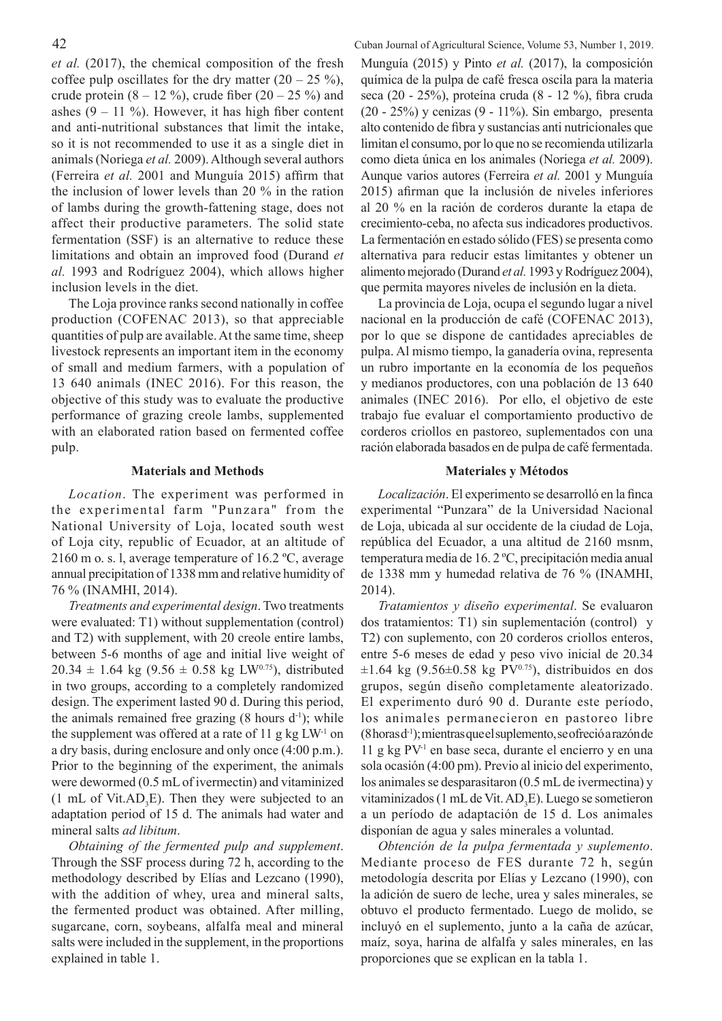*et al.* (2017), the chemical composition of the fresh coffee pulp oscillates for the dry matter  $(20 - 25 \%)$ , crude protein  $(8 - 12 \%)$ , crude fiber  $(20 - 25 \%)$  and ashes  $(9 - 11)$ %). However, it has high fiber content and anti-nutritional substances that limit the intake, so it is not recommended to use it as a single diet in animals (Noriega *et al.* 2009). Although several authors (Ferreira *et al.* 2001 and Munguía 2015) affirm that the inclusion of lower levels than 20 % in the ration of lambs during the growth-fattening stage, does not affect their productive parameters. The solid state fermentation (SSF) is an alternative to reduce these limitations and obtain an improved food (Durand *et al.* 1993 and Rodríguez 2004), which allows higher inclusion levels in the diet.

The Loja province ranks second nationally in coffee production (COFENAC 2013), so that appreciable quantities of pulp are available. At the same time, sheep livestock represents an important item in the economy of small and medium farmers, with a population of 13 640 animals (INEC 2016). For this reason, the objective of this study was to evaluate the productive performance of grazing creole lambs, supplemented with an elaborated ration based on fermented coffee pulp.

# **Materials and Methods**

*Location*. The experiment was performed in the experimental farm "Punzara" from the National University of Loja, located south west of Loja city, republic of Ecuador, at an altitude of 2160 m o. s. l, average temperature of 16.2 ºC, average annual precipitation of 1338 mm and relative humidity of 76 % (INAMHI, 2014).

*Treatments and experimental design*. Two treatments were evaluated: T1) without supplementation (control) and T2) with supplement, with 20 creole entire lambs, between 5-6 months of age and initial live weight of  $20.34 \pm 1.64$  kg  $(9.56 \pm 0.58$  kg LW<sup>0.75</sup>), distributed in two groups, according to a completely randomized design. The experiment lasted 90 d. During this period, the animals remained free grazing  $(8 \text{ hours } d^{-1})$ ; while the supplement was offered at a rate of 11 g kg  $LW<sup>-1</sup>$  on a dry basis, during enclosure and only once (4:00 p.m.). Prior to the beginning of the experiment, the animals were dewormed (0.5 mL of ivermectin) and vitaminized  $(1 \text{ mL of Vit. AD}_{3}E)$ . Then they were subjected to an adaptation period of 15 d. The animals had water and mineral salts *ad libitum*.

*Obtaining of the fermented pulp and supplement*. Through the SSF process during 72 h, according to the methodology described by Elías and Lezcano (1990), with the addition of whey, urea and mineral salts, the fermented product was obtained. After milling, sugarcane, corn, soybeans, alfalfa meal and mineral salts were included in the supplement, in the proportions explained in table 1.

42 Cuban Journal of Agricultural Science, Volume 53, Number 1, 2019. Munguía (2015) y Pinto *et al.* (2017), la composición química de la pulpa de café fresca oscila para la materia seca (20 - 25%), proteína cruda (8 - 12 %), fibra cruda (20 - 25%) y cenizas (9 - 11%). Sin embargo, presenta alto contenido de fibra y sustancias anti nutricionales que limitan el consumo, por lo que no se recomienda utilizarla como dieta única en los animales (Noriega *et al.* 2009). Aunque varios autores (Ferreira *et al.* 2001 y Munguía 2015) afirman que la inclusión de niveles inferiores al 20 % en la ración de corderos durante la etapa de crecimiento-ceba, no afecta sus indicadores productivos. La fermentación en estado sólido (FES) se presenta como alternativa para reducir estas limitantes y obtener un alimento mejorado (Durand *et al.* 1993 y Rodríguez 2004), que permita mayores niveles de inclusión en la dieta.

> La provincia de Loja, ocupa el segundo lugar a nivel nacional en la producción de café (COFENAC 2013), por lo que se dispone de cantidades apreciables de pulpa. Al mismo tiempo, la ganadería ovina, representa un rubro importante en la economía de los pequeños y medianos productores, con una población de 13 640 animales (INEC 2016). Por ello, el objetivo de este trabajo fue evaluar el comportamiento productivo de corderos criollos en pastoreo, suplementados con una ración elaborada basados en de pulpa de café fermentada.

# **Materiales y Métodos**

*Localización*. El experimento se desarrolló en la finca experimental "Punzara" de la Universidad Nacional de Loja, ubicada al sur occidente de la ciudad de Loja, república del Ecuador, a una altitud de 2160 msnm, temperatura media de 16. 2 ºC, precipitación media anual de 1338 mm y humedad relativa de 76 % (INAMHI, 2014).

*Tratamientos y diseño experimental*. Se evaluaron dos tratamientos: T1) sin suplementación (control) y T2) con suplemento, con 20 corderos criollos enteros, entre 5-6 meses de edad y peso vivo inicial de 20.34  $\pm 1.64$  kg (9.56 $\pm 0.58$  kg PV<sup>0.75</sup>), distribuidos en dos grupos, según diseño completamente aleatorizado. El experimento duró 90 d. Durante este período, los animales permanecieron en pastoreo libre (8 horas d-1); mientras que el suplemento, se ofreció a razón de  $11$  g kg PV<sup>-1</sup> en base seca, durante el encierro y en una sola ocasión (4:00 pm). Previo al inicio del experimento, los animales se desparasitaron (0.5 mL de ivermectina) y vitaminizados (1 mL de Vit.  $AD_3E$ ). Luego se sometieron a un período de adaptación de 15 d. Los animales disponían de agua y sales minerales a voluntad.

*Obtención de la pulpa fermentada y suplemento*. Mediante proceso de FES durante 72 h, según metodología descrita por Elías y Lezcano (1990), con la adición de suero de leche, urea y sales minerales, se obtuvo el producto fermentado. Luego de molido, se incluyó en el suplemento, junto a la caña de azúcar, maíz, soya, harina de alfalfa y sales minerales, en las proporciones que se explican en la tabla 1.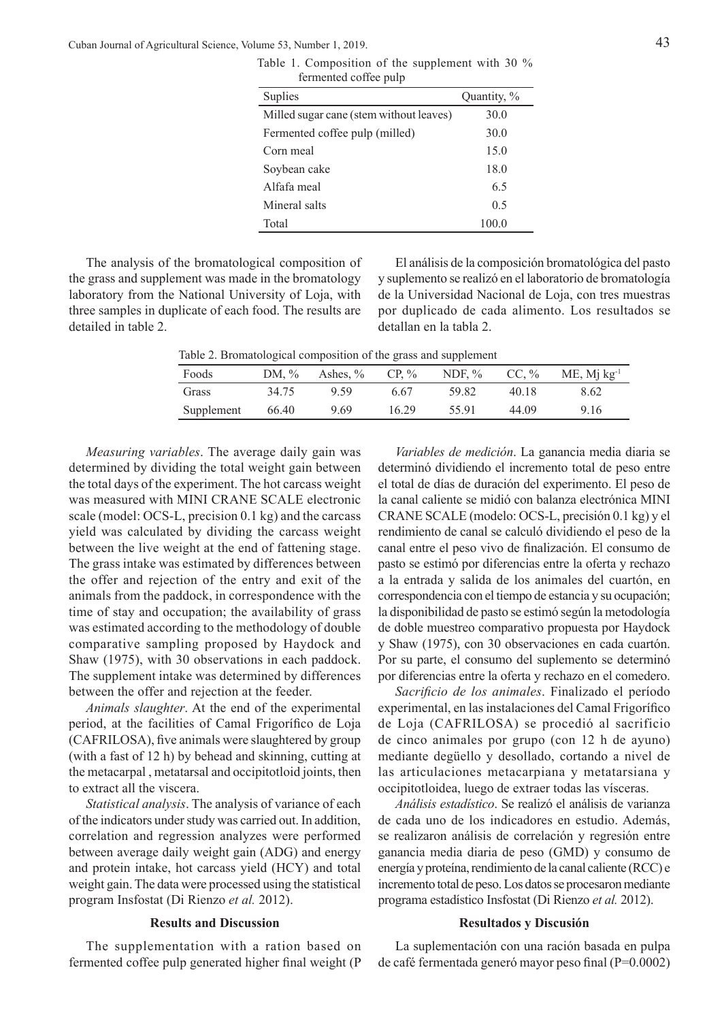Cuban Journal of Agricultural Science, Volume 53, Number 1, 2019. 43

| remiente come puip                      |             |
|-----------------------------------------|-------------|
| <b>Suplies</b>                          | Quantity, % |
| Milled sugar cane (stem without leaves) | 30.0        |
| Fermented coffee pulp (milled)          | 30.0        |
| Corn meal                               | 15.0        |
| Soybean cake                            | 18.0        |
| Alfafa meal                             | 6.5         |
| Mineral salts                           | 0.5         |
| Total                                   | 100.0       |

Table 1. Composition of the supplement with 30 % fermented coffee pulp

The analysis of the bromatological composition of the grass and supplement was made in the bromatology laboratory from the National University of Loja, with three samples in duplicate of each food. The results are detailed in table 2.

El análisis de la composición bromatológica del pasto y suplemento se realizó en el laboratorio de bromatología de la Universidad Nacional de Loja, con tres muestras por duplicado de cada alimento. Los resultados se detallan en la tabla 2.

Table 2. Bromatological composition of the grass and supplement

| Foods      | DM, $\%$ | Ashes, $\%$ | $CP. \%$ | NDF, $\%$ | CC, $\%$ | $ME$ , Mj $kg^{-1}$ |
|------------|----------|-------------|----------|-----------|----------|---------------------|
| Grass      | 34.75    | 9.59        | 6.67     | 59.82     | 40.18    | 8.62                |
| Supplement | 66.40    | 9.69        | 16.29    | 55.91     | 44.09    | 9.16                |

*Measuring variables*. The average daily gain was determined by dividing the total weight gain between the total days of the experiment. The hot carcass weight was measured with MINI CRANE SCALE electronic scale (model: OCS-L, precision 0.1 kg) and the carcass yield was calculated by dividing the carcass weight between the live weight at the end of fattening stage. The grass intake was estimated by differences between the offer and rejection of the entry and exit of the animals from the paddock, in correspondence with the time of stay and occupation; the availability of grass was estimated according to the methodology of double comparative sampling proposed by Haydock and Shaw (1975), with 30 observations in each paddock. The supplement intake was determined by differences between the offer and rejection at the feeder.

*Animals slaughter*. At the end of the experimental period, at the facilities of Camal Frigorífico de Loja (CAFRILOSA), five animals were slaughtered by group (with a fast of 12 h) by behead and skinning, cutting at the metacarpal , metatarsal and occipitotloid joints, then to extract all the viscera.

*Statistical analysis*. The analysis of variance of each of the indicators under study was carried out. In addition, correlation and regression analyzes were performed between average daily weight gain (ADG) and energy and protein intake, hot carcass yield (HCY) and total weight gain. The data were processed using the statistical program Insfostat (Di Rienzo *et al.* 2012).

## **Results and Discussion**

The supplementation with a ration based on fermented coffee pulp generated higher final weight (P

*Variables de medición*. La ganancia media diaria se determinó dividiendo el incremento total de peso entre el total de días de duración del experimento. El peso de la canal caliente se midió con balanza electrónica MINI CRANE SCALE (modelo: OCS-L, precisión 0.1 kg) y el rendimiento de canal se calculó dividiendo el peso de la canal entre el peso vivo de finalización. El consumo de pasto se estimó por diferencias entre la oferta y rechazo a la entrada y salida de los animales del cuartón, en correspondencia con el tiempo de estancia y su ocupación; la disponibilidad de pasto se estimó según la metodología de doble muestreo comparativo propuesta por Haydock y Shaw (1975), con 30 observaciones en cada cuartón. Por su parte, el consumo del suplemento se determinó por diferencias entre la oferta y rechazo en el comedero.

*Sacrificio de los animales*. Finalizado el período experimental, en las instalaciones del Camal Frigorífico de Loja (CAFRILOSA) se procedió al sacrificio de cinco animales por grupo (con 12 h de ayuno) mediante degüello y desollado, cortando a nivel de las articulaciones metacarpiana y metatarsiana y occipitotloidea, luego de extraer todas las vísceras.

*Análisis estadístico*. Se realizó el análisis de varianza de cada uno de los indicadores en estudio. Además, se realizaron análisis de correlación y regresión entre ganancia media diaria de peso (GMD) y consumo de energía y proteína, rendimiento de la canal caliente (RCC) e incremento total de peso. Los datos se procesaron mediante programa estadístico Insfostat (Di Rienzo *et al.* 2012).

### **Resultados y Discusión**

La suplementación con una ración basada en pulpa de café fermentada generó mayor peso final (P=0.0002)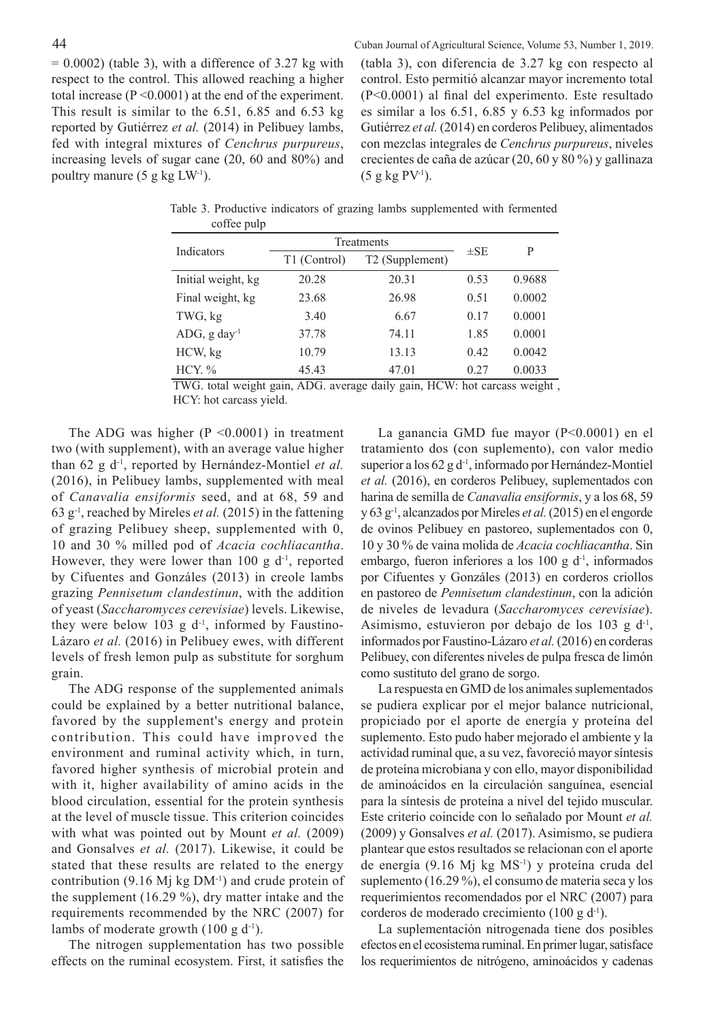$= 0.0002$ ) (table 3), with a difference of 3.27 kg with respect to the control. This allowed reaching a higher total increase (P <0.0001) at the end of the experiment. This result is similar to the 6.51, 6.85 and 6.53 kg reported by Gutiérrez *et al.* (2014) in Pelibuey lambs, fed with integral mixtures of *Cenchrus purpureus*, increasing levels of sugar cane (20, 60 and 80%) and poultry manure (5 g kg LW-1).

44 Cuban Journal of Agricultural Science, Volume 53, Number 1, 2019. (tabla 3), con diferencia de 3.27 kg con respecto al control. Esto permitió alcanzar mayor incremento total (P<0.0001) al final del experimento. Este resultado es similar a los 6.51, 6.85 y 6.53 kg informados por Gutiérrez *et al.* (2014) en corderos Pelibuey, alimentados con mezclas integrales de *Cenchrus purpureus*, niveles crecientes de caña de azúcar (20, 60 y 80 %) y gallinaza  $(5 \text{ g kg PV}^{-1})$ .

|                             | Treatments   | $\pm$ SE        | P    |        |
|-----------------------------|--------------|-----------------|------|--------|
| Indicators                  | T1 (Control) | T2 (Supplement) |      |        |
| Initial weight, kg          | 20.28        | 20.31           | 0.53 | 0.9688 |
| Final weight, kg            | 23.68        | 26.98           | 0.51 | 0.0002 |
| TWG, kg                     | 3.40         | 6.67            | 0.17 | 0.0001 |
| $ADG$ , g day <sup>-1</sup> | 37.78        | 74.11           | 1.85 | 0.0001 |
| HCW, kg                     | 10.79        | 13.13           | 0.42 | 0.0042 |
| HCY. $%$                    | 45.43        | 47.01           | 0.27 | 0.0033 |

Table 3. Productive indicators of grazing lambs supplemented with fermented coffee pulp

TWG. total weight gain, ADG. average daily gain, HCW: hot carcass weight , HCY: hot carcass yield.

The ADG was higher  $(P \le 0.0001)$  in treatment two (with supplement), with an average value higher than 62 g d-1, reported by Hernández-Montiel *et al.* (2016), in Pelibuey lambs, supplemented with meal of *Canavalia ensiformis* seed, and at 68, 59 and 63 g-1, reached by Mireles *et al.* (2015) in the fattening of grazing Pelibuey sheep, supplemented with 0, 10 and 30 % milled pod of *Acacia cochliacantha*. However, they were lower than 100 g  $d^{-1}$ , reported by Cifuentes and Gonzáles (2013) in creole lambs grazing *Pennisetum clandestinun*, with the addition of yeast (*Saccharomyces cerevisiae*) levels. Likewise, they were below 103 g  $d^{-1}$ , informed by Faustino-Lázaro *et al.* (2016) in Pelibuey ewes, with different levels of fresh lemon pulp as substitute for sorghum grain.

The ADG response of the supplemented animals could be explained by a better nutritional balance, favored by the supplement's energy and protein contribution. This could have improved the environment and ruminal activity which, in turn, favored higher synthesis of microbial protein and with it, higher availability of amino acids in the blood circulation, essential for the protein synthesis at the level of muscle tissue. This criterion coincides with what was pointed out by Mount *et al.* (2009) and Gonsalves *et al.* (2017). Likewise, it could be stated that these results are related to the energy contribution (9.16 Mj kg DM-1) and crude protein of the supplement (16.29 %), dry matter intake and the requirements recommended by the NRC (2007) for lambs of moderate growth  $(100 \text{ g d}^{-1})$ .

The nitrogen supplementation has two possible effects on the ruminal ecosystem. First, it satisfies the

La ganancia GMD fue mayor (P<0.0001) en el tratamiento dos (con suplemento), con valor medio superior a los 62 g d<sup>-1</sup>, informado por Hernández-Montiel *et al.* (2016), en corderos Pelibuey, suplementados con harina de semilla de *Canavalia ensiformis*, y a los 68, 59 y 63 g-1, alcanzados por Mireles *et al.* (2015) en el engorde de ovinos Pelibuey en pastoreo, suplementados con 0, 10 y 30 % de vaina molida de *Acacia cochliacantha*. Sin embargo, fueron inferiores a los 100 g d-1, informados por Cifuentes y Gonzáles (2013) en corderos criollos en pastoreo de *Pennisetum clandestinun*, con la adición de niveles de levadura (*Saccharomyces cerevisiae*). Asimismo, estuvieron por debajo de los 103 g d<sup>-1</sup>, informados por Faustino-Lázaro *et al.* (2016) en corderas Pelibuey, con diferentes niveles de pulpa fresca de limón como sustituto del grano de sorgo.

La respuesta en GMD de los animales suplementados se pudiera explicar por el mejor balance nutricional, propiciado por el aporte de energía y proteína del suplemento. Esto pudo haber mejorado el ambiente y la actividad ruminal que, a su vez, favoreció mayor síntesis de proteína microbiana y con ello, mayor disponibilidad de aminoácidos en la circulación sanguínea, esencial para la síntesis de proteína a nivel del tejido muscular. Este criterio coincide con lo señalado por Mount *et al.* (2009) y Gonsalves *et al.* (2017). Asimismo, se pudiera plantear que estos resultados se relacionan con el aporte de energía (9.16 Mj kg MS-1) y proteína cruda del suplemento (16.29 %), el consumo de materia seca y los requerimientos recomendados por el NRC (2007) para corderos de moderado crecimiento (100 g d-1).

La suplementación nitrogenada tiene dos posibles efectos en el ecosistema ruminal. En primer lugar, satisface los requerimientos de nitrógeno, aminoácidos y cadenas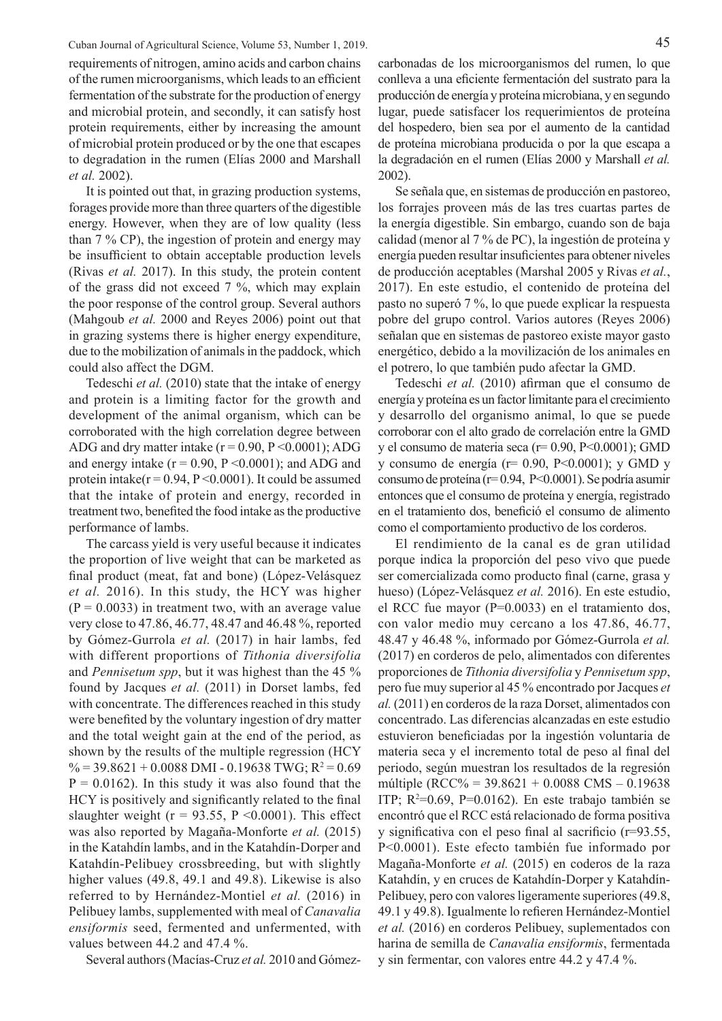Cuban Journal of Agricultural Science, Volume 53, Number 1, 2019. 45

requirements of nitrogen, amino acids and carbon chains of the rumen microorganisms, which leads to an efficient fermentation of the substrate for the production of energy and microbial protein, and secondly, it can satisfy host protein requirements, either by increasing the amount of microbial protein produced or by the one that escapes to degradation in the rumen (Elías 2000 and Marshall *et al.* 2002).

It is pointed out that, in grazing production systems, forages provide more than three quarters of the digestible energy. However, when they are of low quality (less than 7 % CP), the ingestion of protein and energy may be insufficient to obtain acceptable production levels (Rivas *et al.* 2017). In this study, the protein content of the grass did not exceed 7 %, which may explain the poor response of the control group. Several authors (Mahgoub *et al.* 2000 and Reyes 2006) point out that in grazing systems there is higher energy expenditure, due to the mobilization of animals in the paddock, which could also affect the DGM.

Tedeschi *et al.* (2010) state that the intake of energy and protein is a limiting factor for the growth and development of the animal organism, which can be corroborated with the high correlation degree between ADG and dry matter intake  $(r = 0.90, P \le 0.0001)$ ; ADG and energy intake  $(r = 0.90, P \le 0.0001)$ ; and ADG and protein intake( $r = 0.94$ ,  $P \le 0.0001$ ). It could be assumed that the intake of protein and energy, recorded in treatment two, benefited the food intake as the productive performance of lambs.

The carcass yield is very useful because it indicates the proportion of live weight that can be marketed as final product (meat, fat and bone) (López-Velásquez *et al.* 2016). In this study, the HCY was higher  $(P = 0.0033)$  in treatment two, with an average value very close to 47.86, 46.77, 48.47 and 46.48 %, reported by Gómez-Gurrola *et al.* (2017) in hair lambs, fed with different proportions of *Tithonia diversifolia*  and *Pennisetum spp*, but it was highest than the 45 % found by Jacques *et al.* (2011) in Dorset lambs, fed with concentrate. The differences reached in this study were benefited by the voluntary ingestion of dry matter and the total weight gain at the end of the period, as shown by the results of the multiple regression (HCY  $\% = 39.8621 + 0.0088$  DMI - 0.19638 TWG; R<sup>2</sup> = 0.69  $P = 0.0162$ ). In this study it was also found that the HCY is positively and significantly related to the final slaughter weight ( $r = 93.55$ ,  $P \le 0.0001$ ). This effect was also reported by Magaña-Monforte *et al.* (2015) in the Katahdín lambs, and in the Katahdín-Dorper and Katahdín-Pelibuey crossbreeding, but with slightly higher values (49.8, 49.1 and 49.8). Likewise is also referred to by Hernández-Montiel *et al.* (2016) in Pelibuey lambs, supplemented with meal of *Canavalia ensiformis* seed, fermented and unfermented, with values between 44.2 and 47.4 %.

Several authors (Macías-Cruz *et al.* 2010 and Gómez-

carbonadas de los microorganismos del rumen, lo que conlleva a una eficiente fermentación del sustrato para la producción de energía y proteína microbiana, y en segundo lugar, puede satisfacer los requerimientos de proteína del hospedero, bien sea por el aumento de la cantidad de proteína microbiana producida o por la que escapa a la degradación en el rumen (Elías 2000 y Marshall *et al.* 2002).

Se señala que, en sistemas de producción en pastoreo, los forrajes proveen más de las tres cuartas partes de la energía digestible. Sin embargo, cuando son de baja calidad (menor al 7 % de PC), la ingestión de proteína y energía pueden resultar insuficientes para obtener niveles de producción aceptables (Marshal 2005 y Rivas *et al.*, 2017). En este estudio, el contenido de proteína del pasto no superó 7 %, lo que puede explicar la respuesta pobre del grupo control. Varios autores (Reyes 2006) señalan que en sistemas de pastoreo existe mayor gasto energético, debido a la movilización de los animales en el potrero, lo que también pudo afectar la GMD.

Tedeschi *et al.* (2010) afirman que el consumo de energía y proteína es un factor limitante para el crecimiento y desarrollo del organismo animal, lo que se puede corroborar con el alto grado de correlación entre la GMD y el consumo de materia seca (r= 0.90, P<0.0001); GMD y consumo de energía (r= 0.90, P<0.0001); y GMD y consumo de proteína (r= 0.94, P<0.0001). Se podría asumir entonces que el consumo de proteína y energía, registrado en el tratamiento dos, benefició el consumo de alimento como el comportamiento productivo de los corderos.

El rendimiento de la canal es de gran utilidad porque indica la proporción del peso vivo que puede ser comercializada como producto final (carne, grasa y hueso) (López-Velásquez *et al.* 2016). En este estudio, el RCC fue mayor (P=0.0033) en el tratamiento dos, con valor medio muy cercano a los 47.86, 46.77, 48.47 y 46.48 %, informado por Gómez-Gurrola *et al.* (2017) en corderos de pelo, alimentados con diferentes proporciones de *Tithonia diversifolia* y *Pennisetum spp*, pero fue muy superior al 45 % encontrado por Jacques *et al.* (2011) en corderos de la raza Dorset, alimentados con concentrado. Las diferencias alcanzadas en este estudio estuvieron beneficiadas por la ingestión voluntaria de materia seca y el incremento total de peso al final del periodo, según muestran los resultados de la regresión múltiple (RCC% = 39.8621 + 0.0088 CMS – 0.19638 ITP;  $R^2=0.69$ ,  $P=0.0162$ ). En este trabajo también se encontró que el RCC está relacionado de forma positiva y significativa con el peso final al sacrificio (r=93.55, P<0.0001). Este efecto también fue informado por Magaña-Monforte *et al.* (2015) en coderos de la raza Katahdín, y en cruces de Katahdín-Dorper y Katahdín-Pelibuey, pero con valores ligeramente superiores (49.8, 49.1 y 49.8). Igualmente lo refieren Hernández-Montiel *et al.* (2016) en corderos Pelibuey, suplementados con harina de semilla de *Canavalia ensiformis*, fermentada y sin fermentar, con valores entre 44.2 y 47.4 %.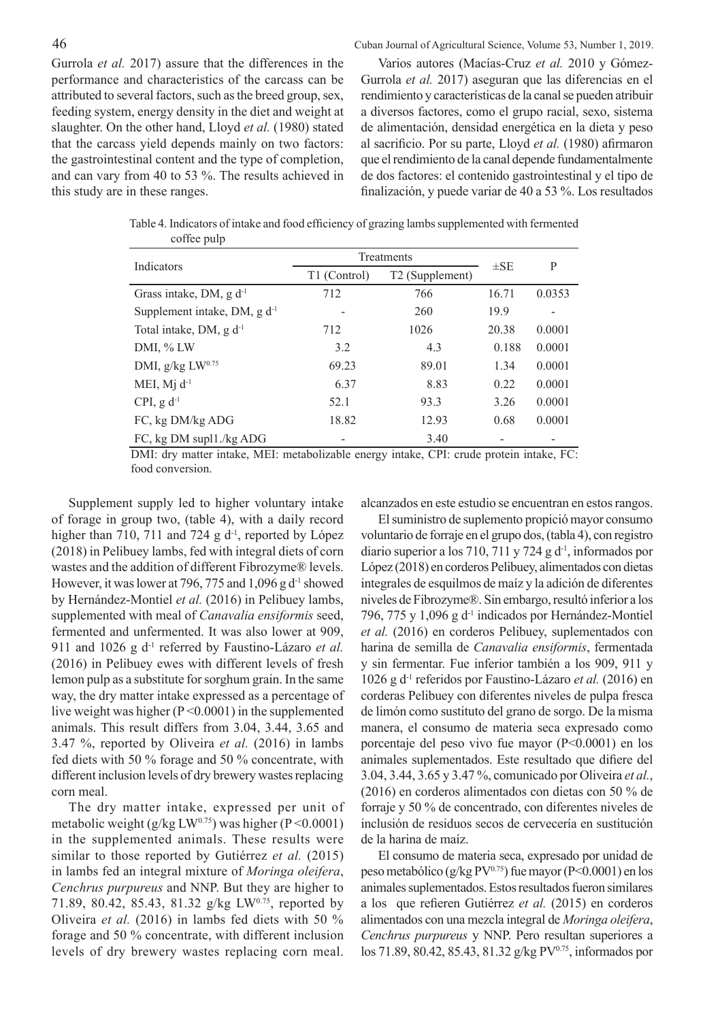46 Cuban Journal of Agricultural Science, Volume 53, Number 1, 2019.

Gurrola *et al.* 2017) assure that the differences in the performance and characteristics of the carcass can be attributed to several factors, such as the breed group, sex, feeding system, energy density in the diet and weight at slaughter. On the other hand, Lloyd *et al.* (1980) stated that the carcass yield depends mainly on two factors: the gastrointestinal content and the type of completion, and can vary from 40 to 53 %. The results achieved in this study are in these ranges.

Varios autores (Macías-Cruz *et al.* 2010 y Gómez-Gurrola *et al.* 2017) aseguran que las diferencias en el rendimiento y características de la canal se pueden atribuir a diversos factores, como el grupo racial, sexo, sistema de alimentación, densidad energética en la dieta y peso al sacrificio. Por su parte, Lloyd *et al.* (1980) afirmaron que el rendimiento de la canal depende fundamentalmente de dos factores: el contenido gastrointestinal y el tipo de finalización, y puede variar de 40 a 53 %. Los resultados

Table 4. Indicators of intake and food efficiency of grazing lambs supplemented with fermented coffee pulp

| Indicators                        | Treatments   | $\pm$ SE                    | P     |        |  |
|-----------------------------------|--------------|-----------------------------|-------|--------|--|
|                                   | T1 (Control) | T <sub>2</sub> (Supplement) |       |        |  |
| Grass intake, DM, $g d^{-1}$      | 712          | 766                         | 16.71 | 0.0353 |  |
| Supplement intake, DM, $g d^{-1}$ |              | 260                         | 19.9  |        |  |
| Total intake, DM, $g d^{-1}$      | 712          | 1026                        | 20.38 | 0.0001 |  |
| DMI, % LW                         | 3.2          | 4.3                         | 0.188 | 0.0001 |  |
| DMI, g/kg LW0.75                  | 69.23        | 89.01                       | 1.34  | 0.0001 |  |
| MEI, $Mj$ $d^{-1}$                | 6.37         | 8.83                        | 0.22  | 0.0001 |  |
| CPI, $g d^{-1}$                   | 52.1         | 93.3                        | 3.26  | 0.0001 |  |
| FC, kg DM/kg ADG                  | 18.82        | 12.93                       | 0.68  | 0.0001 |  |
| FC, kg DM supl1./kg ADG           |              | 3.40                        |       |        |  |

DMI: dry matter intake, MEI: metabolizable energy intake, CPI: crude protein intake, FC: food conversion.

Supplement supply led to higher voluntary intake of forage in group two, (table 4), with a daily record higher than 710, 711 and 724 g  $d<sup>-1</sup>$ , reported by López (2018) in Pelibuey lambs, fed with integral diets of corn wastes and the addition of different Fibrozyme® levels. However, it was lower at 796, 775 and 1,096 g  $d<sup>-1</sup>$  showed by Hernández-Montiel *et al.* (2016) in Pelibuey lambs, supplemented with meal of *Canavalia ensiformis* seed, fermented and unfermented. It was also lower at 909, 911 and 1026 g d-1 referred by Faustino-Lázaro *et al.* (2016) in Pelibuey ewes with different levels of fresh lemon pulp as a substitute for sorghum grain. In the same way, the dry matter intake expressed as a percentage of live weight was higher (P <0.0001) in the supplemented animals. This result differs from 3.04, 3.44, 3.65 and 3.47 %, reported by Oliveira *et al.* (2016) in lambs fed diets with 50 % forage and 50 % concentrate, with different inclusion levels of dry brewery wastes replacing corn meal.

The dry matter intake, expressed per unit of metabolic weight (g/kg LW<sup>0.75</sup>) was higher (P < 0.0001) in the supplemented animals. These results were similar to those reported by Gutiérrez *et al.* (2015) in lambs fed an integral mixture of *Moringa oleifera*, *Cenchrus purpureus* and NNP. But they are higher to 71.89, 80.42, 85.43, 81.32 g/kg LW<sup>0.75</sup>, reported by Oliveira *et al.* (2016) in lambs fed diets with 50 % forage and 50 % concentrate, with different inclusion levels of dry brewery wastes replacing corn meal.

alcanzados en este estudio se encuentran en estos rangos.

El suministro de suplemento propició mayor consumo voluntario de forraje en el grupo dos, (tabla 4), con registro diario superior a los 710, 711 y 724 g  $d^{-1}$ , informados por López (2018) en corderos Pelibuey, alimentados con dietas integrales de esquilmos de maíz y la adición de diferentes niveles de Fibrozyme®. Sin embargo, resultó inferior a los 796, 775 y 1,096 g d-1 indicados por Hernández-Montiel *et al.* (2016) en corderos Pelibuey, suplementados con harina de semilla de *Canavalia ensiformis*, fermentada y sin fermentar. Fue inferior también a los 909, 911 y 1026 g d-1 referidos por Faustino-Lázaro *et al.* (2016) en corderas Pelibuey con diferentes niveles de pulpa fresca de limón como sustituto del grano de sorgo. De la misma manera, el consumo de materia seca expresado como porcentaje del peso vivo fue mayor (P<0.0001) en los animales suplementados. Este resultado que difiere del 3.04, 3.44, 3.65 y 3.47 %, comunicado por Oliveira *et al.*, (2016) en corderos alimentados con dietas con 50 % de forraje y 50 % de concentrado, con diferentes niveles de inclusión de residuos secos de cervecería en sustitución de la harina de maíz.

El consumo de materia seca, expresado por unidad de peso metabólico (g/kg PV0.75) fue mayor (P<0.0001) en los animales suplementados. Estos resultados fueron similares a los que refieren Gutiérrez *et al.* (2015) en corderos alimentados con una mezcla integral de *Moringa oleifera*, *Cenchrus purpureus* y NNP. Pero resultan superiores a los 71.89, 80.42, 85.43, 81.32 g/kg PV0.75, informados por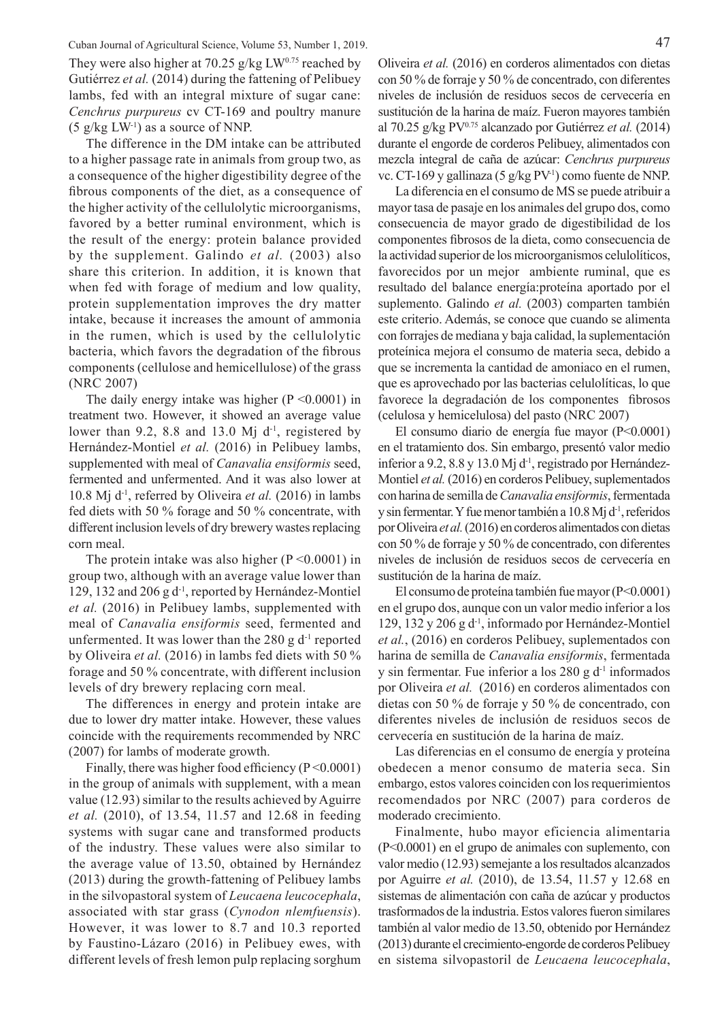Cuban Journal of Agricultural Science, Volume 53, Number 1, 2019. 47 They were also higher at 70.25 g/kg  $LW^{0.75}$  reached by Gutiérrez *et al.* (2014) during the fattening of Pelibuey lambs, fed with an integral mixture of sugar cane: *Cenchrus purpureus* cv CT-169 and poultry manure  $(5 \text{ g/kg LW}^{-1})$  as a source of NNP.

The difference in the DM intake can be attributed to a higher passage rate in animals from group two, as a consequence of the higher digestibility degree of the fibrous components of the diet, as a consequence of the higher activity of the cellulolytic microorganisms, favored by a better ruminal environment, which is the result of the energy: protein balance provided by the supplement. Galindo *et al.* (2003) also share this criterion. In addition, it is known that when fed with forage of medium and low quality, protein supplementation improves the dry matter intake, because it increases the amount of ammonia in the rumen, which is used by the cellulolytic bacteria, which favors the degradation of the fibrous components (cellulose and hemicellulose) of the grass (NRC 2007)

The daily energy intake was higher  $(P \le 0.0001)$  in treatment two. However, it showed an average value lower than 9.2, 8.8 and 13.0 Mj  $d^{-1}$ , registered by Hernández-Montiel *et al.* (2016) in Pelibuey lambs, supplemented with meal of *Canavalia ensiformis* seed, fermented and unfermented. And it was also lower at 10.8 Mj d-1, referred by Oliveira *et al.* (2016) in lambs fed diets with 50 % forage and 50 % concentrate, with different inclusion levels of dry brewery wastes replacing corn meal.

The protein intake was also higher  $(P \le 0.0001)$  in group two, although with an average value lower than 129, 132 and 206 g  $d<sup>-1</sup>$ , reported by Hernández-Montiel *et al.* (2016) in Pelibuey lambs, supplemented with meal of *Canavalia ensiformis* seed, fermented and unfermented. It was lower than the 280 g  $d<sup>-1</sup>$  reported by Oliveira *et al.* (2016) in lambs fed diets with 50 % forage and 50 % concentrate, with different inclusion levels of dry brewery replacing corn meal.

The differences in energy and protein intake are due to lower dry matter intake. However, these values coincide with the requirements recommended by NRC (2007) for lambs of moderate growth.

Finally, there was higher food efficiency  $(P < 0.0001)$ in the group of animals with supplement, with a mean value (12.93) similar to the results achieved by Aguirre *et al.* (2010), of 13.54, 11.57 and 12.68 in feeding systems with sugar cane and transformed products of the industry. These values were also similar to the average value of 13.50, obtained by Hernández (2013) during the growth-fattening of Pelibuey lambs in the silvopastoral system of *Leucaena leucocephala*, associated with star grass (*Cynodon nlemfuensis*). However, it was lower to 8.7 and 10.3 reported by Faustino-Lázaro (2016) in Pelibuey ewes, with different levels of fresh lemon pulp replacing sorghum

Oliveira *et al.* (2016) en corderos alimentados con dietas con 50 % de forraje y 50 % de concentrado, con diferentes niveles de inclusión de residuos secos de cervecería en sustitución de la harina de maíz. Fueron mayores también al 70.25 g/kg  $PV^{0.75}$  alcanzado por Gutiérrez *et al.* (2014) durante el engorde de corderos Pelibuey, alimentados con mezcla integral de caña de azúcar: *Cenchrus purpureus* vc. CT-169 y gallinaza (5 g/kg PV<sup>-1</sup>) como fuente de NNP.

La diferencia en el consumo de MS se puede atribuir a mayor tasa de pasaje en los animales del grupo dos, como consecuencia de mayor grado de digestibilidad de los componentes fibrosos de la dieta, como consecuencia de la actividad superior de los microorganismos celulolíticos, favorecidos por un mejor ambiente ruminal, que es resultado del balance energía:proteína aportado por el suplemento. Galindo *et al.* (2003) comparten también este criterio. Además, se conoce que cuando se alimenta con forrajes de mediana y baja calidad, la suplementación proteínica mejora el consumo de materia seca, debido a que se incrementa la cantidad de amoniaco en el rumen, que es aprovechado por las bacterias celulolíticas, lo que favorece la degradación de los componentes fibrosos (celulosa y hemicelulosa) del pasto (NRC 2007)

El consumo diario de energía fue mayor (P<0.0001) en el tratamiento dos. Sin embargo, presentó valor medio inferior a 9.2, 8.8 y 13.0 Mj d<sup>-1</sup>, registrado por Hernández-Montiel *et al.* (2016) en corderos Pelibuey, suplementados con harina de semilla de *Canavalia ensiformis*, fermentada y sin fermentar. Y fue menor también a 10.8 Mj d-1, referidos por Oliveira *et al.* (2016) en corderos alimentados con dietas con 50 % de forraje y 50 % de concentrado, con diferentes niveles de inclusión de residuos secos de cervecería en sustitución de la harina de maíz.

El consumo de proteína también fue mayor (P<0.0001) en el grupo dos, aunque con un valor medio inferior a los 129, 132 y 206 g d-1, informado por Hernández-Montiel *et al.*, (2016) en corderos Pelibuey, suplementados con harina de semilla de *Canavalia ensiformis*, fermentada y sin fermentar. Fue inferior a los 280 g  $d<sup>-1</sup>$  informados por Oliveira *et al.* (2016) en corderos alimentados con dietas con 50 % de forraje y 50 % de concentrado, con diferentes niveles de inclusión de residuos secos de cervecería en sustitución de la harina de maíz.

Las diferencias en el consumo de energía y proteína obedecen a menor consumo de materia seca. Sin embargo, estos valores coinciden con los requerimientos recomendados por NRC (2007) para corderos de moderado crecimiento.

Finalmente, hubo mayor eficiencia alimentaria (P<0.0001) en el grupo de animales con suplemento, con valor medio (12.93) semejante a los resultados alcanzados por Aguirre *et al.* (2010), de 13.54, 11.57 y 12.68 en sistemas de alimentación con caña de azúcar y productos trasformados de la industria. Estos valores fueron similares también al valor medio de 13.50, obtenido por Hernández (2013) durante el crecimiento-engorde de corderos Pelibuey en sistema silvopastoril de *Leucaena leucocephala*,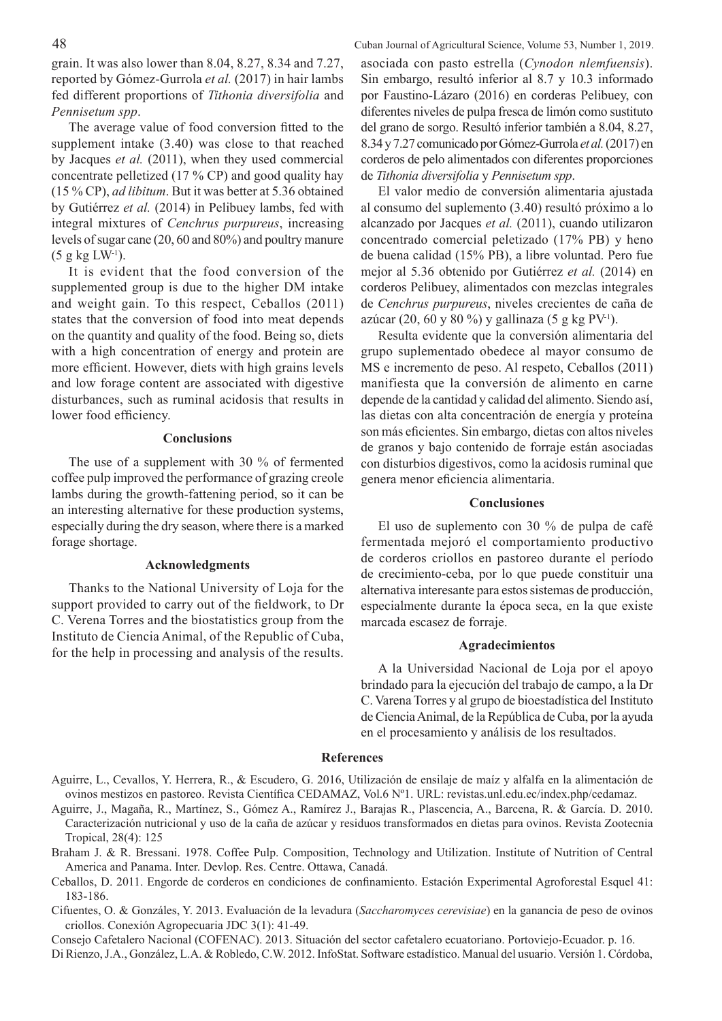grain. It was also lower than 8.04, 8.27, 8.34 and 7.27, reported by Gómez-Gurrola *et al.* (2017) in hair lambs fed different proportions of *Tithonia diversifolia* and *Pennisetum spp*.

The average value of food conversion fitted to the supplement intake (3.40) was close to that reached by Jacques *et al.* (2011), when they used commercial concentrate pelletized (17 % CP) and good quality hay (15 % CP), *ad libitum*. But it was better at 5.36 obtained by Gutiérrez *et al.* (2014) in Pelibuey lambs, fed with integral mixtures of *Cenchrus purpureus*, increasing levels of sugar cane (20, 60 and 80%) and poultry manure  $(5 g kg LW^{-1})$ .

It is evident that the food conversion of the supplemented group is due to the higher DM intake and weight gain. To this respect, Ceballos (2011) states that the conversion of food into meat depends on the quantity and quality of the food. Being so, diets with a high concentration of energy and protein are more efficient. However, diets with high grains levels and low forage content are associated with digestive disturbances, such as ruminal acidosis that results in lower food efficiency.

#### **Conclusions**

The use of a supplement with 30 % of fermented coffee pulp improved the performance of grazing creole lambs during the growth-fattening period, so it can be an interesting alternative for these production systems, especially during the dry season, where there is a marked forage shortage.

## **Acknowledgments**

Thanks to the National University of Loja for the support provided to carry out of the fieldwork, to Dr C. Verena Torres and the biostatistics group from the Instituto de Ciencia Animal, of the Republic of Cuba, for the help in processing and analysis of the results.

48 Cuban Journal of Agricultural Science, Volume 53, Number 1, 2019. asociada con pasto estrella (*Cynodon nlemfuensis*). Sin embargo, resultó inferior al 8.7 y 10.3 informado por Faustino-Lázaro (2016) en corderas Pelibuey, con diferentes niveles de pulpa fresca de limón como sustituto del grano de sorgo. Resultó inferior también a 8.04, 8.27, 8.34 y 7.27 comunicado por Gómez-Gurrola *et al.* (2017) en corderos de pelo alimentados con diferentes proporciones de *Tithonia diversifolia* y *Pennisetum spp*.

> El valor medio de conversión alimentaria ajustada al consumo del suplemento (3.40) resultó próximo a lo alcanzado por Jacques *et al.* (2011), cuando utilizaron concentrado comercial peletizado (17% PB) y heno de buena calidad (15% PB), a libre voluntad. Pero fue mejor al 5.36 obtenido por Gutiérrez *et al.* (2014) en corderos Pelibuey, alimentados con mezclas integrales de *Cenchrus purpureus*, niveles crecientes de caña de azúcar (20, 60 y 80 %) y gallinaza (5 g kg PV<sup>-1</sup>).

> Resulta evidente que la conversión alimentaria del grupo suplementado obedece al mayor consumo de MS e incremento de peso. Al respeto, Ceballos (2011) manifiesta que la conversión de alimento en carne depende de la cantidad y calidad del alimento. Siendo así, las dietas con alta concentración de energía y proteína son más eficientes. Sin embargo, dietas con altos niveles de granos y bajo contenido de forraje están asociadas con disturbios digestivos, como la acidosis ruminal que genera menor eficiencia alimentaria.

#### **Conclusiones**

El uso de suplemento con 30 % de pulpa de café fermentada mejoró el comportamiento productivo de corderos criollos en pastoreo durante el período de crecimiento-ceba, por lo que puede constituir una alternativa interesante para estos sistemas de producción, especialmente durante la época seca, en la que existe marcada escasez de forraje.

#### **Agradecimientos**

A la Universidad Nacional de Loja por el apoyo brindado para la ejecución del trabajo de campo, a la Dr C. Varena Torres y al grupo de bioestadística del Instituto de Ciencia Animal, de la República de Cuba, por la ayuda en el procesamiento y análisis de los resultados.

#### **References**

- Aguirre, J., Magaña, R., Martínez, S., Gómez A., Ramírez J., Barajas R., Plascencia, A., Barcena, R. & García. D. 2010. Caracterización nutricional y uso de la caña de azúcar y residuos transformados en dietas para ovinos. Revista Zootecnia Tropical, 28(4): 125
- Braham J. & R. Bressani. 1978. Coffee Pulp. Composition, Technology and Utilization. Institute of Nutrition of Central America and Panama. Inter. Devlop. Res. Centre. Ottawa, Canadá.
- Ceballos, D. 2011. Engorde de corderos en condiciones de confinamiento. Estación Experimental Agroforestal Esquel 41: 183-186.
- Cifuentes, O. & Gonzáles, Y. 2013. Evaluación de la levadura (*Saccharomyces cerevisiae*) en la ganancia de peso de ovinos criollos. Conexión Agropecuaria JDC 3(1): 41-49.

Consejo Cafetalero Nacional (COFENAC). 2013. Situación del sector cafetalero ecuatoriano. Portoviejo-Ecuador. p. 16.

Di Rienzo, J.A., González, L.A. & Robledo, C.W. 2012. InfoStat. Software estadístico. Manual del usuario. Versión 1. Córdoba,

Aguirre, L., Cevallos, Y. Herrera, R., & Escudero, G. 2016, Utilización de ensilaje de maíz y alfalfa en la alimentación de ovinos mestizos en pastoreo. Revista Científica CEDAMAZ, Vol.6 Nº1. URL: revistas.unl.edu.ec/index.php/cedamaz.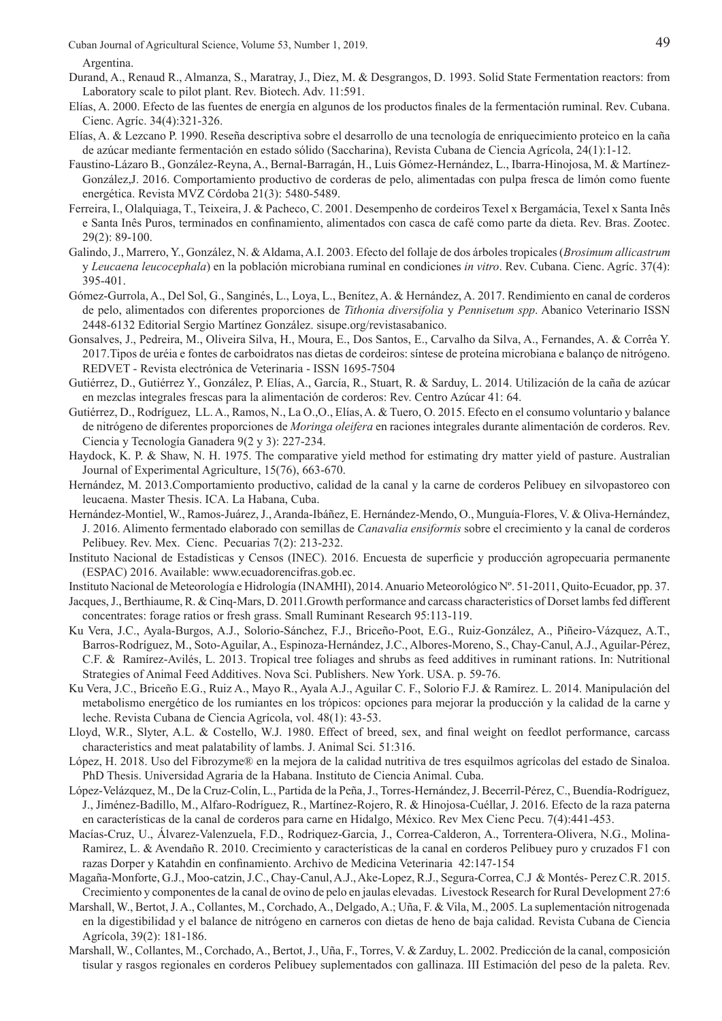Argentina.

- Durand, A., Renaud R., Almanza, S., Maratray, J., Diez, M. & Desgrangos, D. 1993. Solid State Fermentation reactors: from Laboratory scale to pilot plant. Rev. Biotech. Adv. 11:591.
- Elías, A. 2000. Efecto de las fuentes de energía en algunos de los productos finales de la fermentación ruminal. Rev. Cubana. Cienc. Agríc. 34(4):321-326.
- Elías, A. & Lezcano P. 1990. Reseña descriptiva sobre el desarrollo de una tecnología de enriquecimiento proteico en la caña de azúcar mediante fermentación en estado sólido (Saccharina), Revista Cubana de Ciencia Agrícola, 24(1):1-12.
- Faustino-Lázaro B., González-Reyna, A., Bernal-Barragán, H., Luis Gómez-Hernández, L., Ibarra-Hinojosa, M. & Martínez-González,J. 2016. Comportamiento productivo de corderas de pelo, alimentadas con pulpa fresca de limón como fuente energética. Revista MVZ Córdoba 21(3): 5480-5489.
- Ferreira, I., Olalquiaga, T., Teixeira, J. & Pacheco, C. 2001. Desempenho de cordeiros Texel x Bergamácia, Texel x Santa Inês e Santa Inês Puros, terminados en confinamiento, alimentados con casca de café como parte da dieta. Rev. Bras. Zootec. 29(2): 89-100.
- Galindo, J., Marrero, Y., González, N. & Aldama, A.I. 2003. Efecto del follaje de dos árboles tropicales (*Brosimum allicastrum*  y *Leucaena leucocephala*) en la población microbiana ruminal en condiciones *in vitro*. Rev. Cubana. Cienc. Agríc. 37(4): 395-401.
- Gómez-Gurrola, A., Del Sol, G., Sanginés, L., Loya, L., Benítez, A. & Hernández, A. 2017. Rendimiento en canal de corderos de pelo, alimentados con diferentes proporciones de *Tithonia diversifolia* y *Pennisetum spp*. Abanico Veterinario ISSN 2448-6132 Editorial Sergio Martínez González. sisupe.org/revistasabanico.
- Gonsalves, J., Pedreira, M., Oliveira Silva, H., Moura, E., Dos Santos, E., Carvalho da Silva, A., Fernandes, A. & Corrêa Y. 2017.Tipos de uréia e fontes de carboidratos nas dietas de cordeiros: síntese de proteína microbiana e balanço de nitrógeno. REDVET - Revista electrónica de Veterinaria - ISSN 1695-7504
- Gutiérrez, D., Gutiérrez Y., González, P. Elías, A., García, R., Stuart, R. & Sarduy, L. 2014. Utilización de la caña de azúcar en mezclas integrales frescas para la alimentación de corderos: Rev. Centro Azúcar 41: 64.
- Gutiérrez, D., Rodríguez, LL. A., Ramos, N., La O.,O., Elías, A. & Tuero, O. 2015. Efecto en el consumo voluntario y balance de nitrógeno de diferentes proporciones de *Moringa oleifera* en raciones integrales durante alimentación de corderos. Rev. Ciencia y Tecnología Ganadera 9(2 y 3): 227-234.
- Haydock, K. P. & Shaw, N. H. 1975. The comparative yield method for estimating dry matter yield of pasture. Australian Journal of Experimental Agriculture, 15(76), 663-670.
- Hernández, M. 2013.Comportamiento productivo, calidad de la canal y la carne de corderos Pelibuey en silvopastoreo con leucaena. Master Thesis. ICA. La Habana, Cuba.
- Hernández-Montiel, W., Ramos-Juárez, J., Aranda-Ibáñez, E. Hernández-Mendo, O., Munguía-Flores, V. & Oliva-Hernández, J. 2016. Alimento fermentado elaborado con semillas de *Canavalia ensiformis* sobre el crecimiento y la canal de corderos Pelibuey. Rev. Mex. Cienc. Pecuarias 7(2): 213-232.
- Instituto Nacional de Estadísticas y Censos (INEC). 2016. Encuesta de superficie y producción agropecuaria permanente (ESPAC) 2016. Available: www.ecuadorencifras.gob.ec.
- Instituto Nacional de Meteorología e Hidrología (INAMHI), 2014. Anuario Meteorológico Nº. 51-2011, Quito-Ecuador, pp. 37.
- Jacques, J., Berthiaume, R. & Cinq-Mars, D. 2011.Growth performance and carcass characteristics of Dorset lambs fed different concentrates: forage ratios or fresh grass. Small Ruminant Research 95:113-119.
- Ku Vera, J.C., Ayala-Burgos, A.J., Solorio-Sánchez, F.J., Briceño-Poot, E.G., Ruiz-González, A., Piñeiro-Vázquez, A.T., Barros-Rodríguez, M., Soto-Aguilar, A., Espinoza-Hernández, J.C., Albores-Moreno, S., Chay-Canul, A.J., Aguilar-Pérez, C.F. & Ramírez-Avilés, L. 2013. Tropical tree foliages and shrubs as feed additives in ruminant rations. In: Nutritional Strategies of Animal Feed Additives. Nova Sci. Publishers. New York. USA. p. 59-76.
- Ku Vera, J.C., Briceño E.G., Ruiz A., Mayo R., Ayala A.J., Aguilar C. F., Solorio F.J. & Ramírez. L. 2014. Manipulación del metabolismo energético de los rumiantes en los trópicos: opciones para mejorar la producción y la calidad de la carne y leche. Revista Cubana de Ciencia Agrícola, vol. 48(1): 43-53.
- Lloyd, W.R., Slyter, A.L. & Costello, W.J. 1980. Effect of breed, sex, and final weight on feedlot performance, carcass characteristics and meat palatability of lambs. J. Animal Sci. 51:316.
- López, H. 2018. Uso del Fibrozyme® en la mejora de la calidad nutritiva de tres esquilmos agrícolas del estado de Sinaloa. PhD Thesis. Universidad Agraria de la Habana. Instituto de Ciencia Animal. Cuba.
- López-Velázquez, M., De la Cruz-Colín, L., Partida de la Peña, J., Torres-Hernández, J. Becerril-Pérez, C., Buendía-Rodríguez, J., Jiménez-Badillo, M., Alfaro-Rodríguez, R., Martínez-Rojero, R. & Hinojosa-Cuéllar, J. 2016. Efecto de la raza paterna en características de la canal de corderos para carne en Hidalgo, México. Rev Mex Cienc Pecu. 7(4):441-453.
- Macías-Cruz, U., Álvarez-Valenzuela, F.D., Rodriquez-Garcia, J., Correa-Calderon, A., Torrentera-Olivera, N.G., Molina-Ramirez, L. & Avendaño R. 2010. Crecimiento y características de la canal en corderos Pelibuey puro y cruzados F1 con razas Dorper y Katahdin en confinamiento. Archivo de Medicina Veterinaria 42:147-154
- Magaña-Monforte, G.J., Moo-catzin, J.C., Chay-Canul, A.J., Ake-Lopez, R.J., Segura-Correa, C.J & Montés- Perez C.R. 2015. Crecimiento y componentes de la canal de ovino de pelo en jaulas elevadas. Livestock Research for Rural Development 27:6
- Marshall, W., Bertot, J. A., Collantes, M., Corchado, A., Delgado, A.; Uña, F. & Vila, M., 2005. La suplementación nitrogenada en la digestibilidad y el balance de nitrógeno en carneros con dietas de heno de baja calidad. Revista Cubana de Ciencia Agrícola, 39(2): 181-186.
- Marshall, W., Collantes, M., Corchado, A., Bertot, J., Uña, F., Torres, V. & Zarduy, L. 2002. Predicción de la canal, composición tisular y rasgos regionales en corderos Pelibuey suplementados con gallinaza. III Estimación del peso de la paleta. Rev.